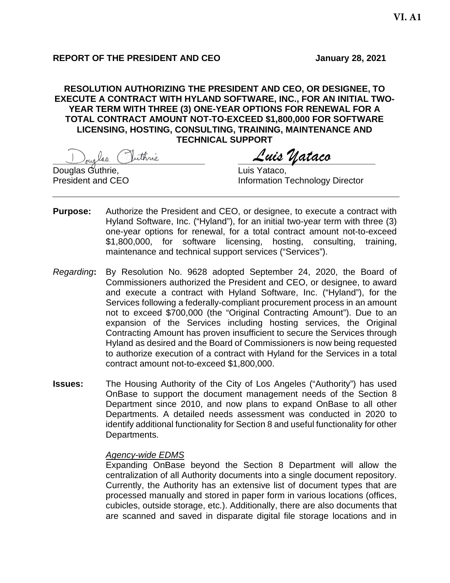## **REPORT OF THE PRESIDENT AND CEO January 28, 2021**

## **RESOLUTION AUTHORIZING THE PRESIDENT AND CEO, OR DESIGNEE, TO EXECUTE A CONTRACT WITH HYLAND SOFTWARE, INC., FOR AN INITIAL TWO-YEAR TERM WITH THREE (3) ONE-YEAR OPTIONS FOR RENEWAL FOR A TOTAL CONTRACT AMOUNT NOT-TO-EXCEED \$1,800,000 FOR SOFTWARE LICENSING, HOSTING, CONSULTING, TRAINING, MAINTENANCE AND TECHNICAL SUPPORT**

**\_\_\_\_\_\_\_\_\_\_\_\_\_\_\_\_\_\_\_\_\_\_\_\_\_\_\_\_\_\_\_ \_\_\_\_\_\_\_\_\_\_\_\_\_\_\_\_\_\_\_\_\_\_\_\_\_\_\_\_** *Luis Yataco*

Douglas Guthrie, Luis Yataco,

**Information Technology Director** 

- **Purpose:** Authorize the President and CEO, or designee, to execute a contract with Hyland Software, Inc. ("Hyland"), for an initial two-year term with three (3) one-year options for renewal, for a total contract amount not-to-exceed \$1,800,000, for software licensing, hosting, consulting, training, maintenance and technical support services ("Services").
- *Regarding***:** By Resolution No. 9628 adopted September 24, 2020, the Board of Commissioners authorized the President and CEO, or designee, to award and execute a contract with Hyland Software, Inc. ("Hyland"), for the Services following a federally-compliant procurement process in an amount not to exceed \$700,000 (the "Original Contracting Amount"). Due to an expansion of the Services including hosting services, the Original Contracting Amount has proven insufficient to secure the Services through Hyland as desired and the Board of Commissioners is now being requested to authorize execution of a contract with Hyland for the Services in a total contract amount not-to-exceed \$1,800,000.
- **Issues:** The Housing Authority of the City of Los Angeles ("Authority") has used OnBase to support the document management needs of the Section 8 Department since 2010, and now plans to expand OnBase to all other Departments. A detailed needs assessment was conducted in 2020 to identify additional functionality for Section 8 and useful functionality for other Departments.

### *Agency-wide EDMS*

Expanding OnBase beyond the Section 8 Department will allow the centralization of all Authority documents into a single document repository. Currently, the Authority has an extensive list of document types that are processed manually and stored in paper form in various locations (offices, cubicles, outside storage, etc.). Additionally, there are also documents that are scanned and saved in disparate digital file storage locations and in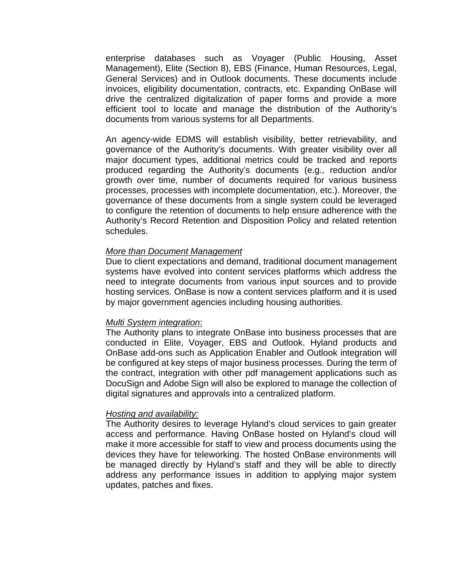enterprise databases such as Voyager (Public Housing, Asset Management), Elite (Section 8), EBS (Finance, Human Resources, Legal, General Services) and in Outlook documents. These documents include invoices, eligibility documentation, contracts, etc. Expanding OnBase will drive the centralized digitalization of paper forms and provide a more efficient tool to locate and manage the distribution of the Authority's documents from various systems for all Departments.

An agency-wide EDMS will establish visibility, better retrievability, and governance of the Authority's documents. With greater visibility over all major document types, additional metrics could be tracked and reports produced regarding the Authority's documents (e.g., reduction and/or growth over time, number of documents required for various business processes, processes with incomplete documentation, etc.). Moreover, the governance of these documents from a single system could be leveraged to configure the retention of documents to help ensure adherence with the Authority's Record Retention and Disposition Policy and related retention schedules.

#### *More than Document Management*

Due to client expectations and demand, traditional document management systems have evolved into content services platforms which address the need to integrate documents from various input sources and to provide hosting services. OnBase is now a content services platform and it is used by major government agencies including housing authorities.

#### *Multi System integration*:

The Authority plans to integrate OnBase into business processes that are conducted in Elite, Voyager, EBS and Outlook. Hyland products and OnBase add-ons such as Application Enabler and Outlook integration will be configured at key steps of major business processes. During the term of the contract, integration with other pdf management applications such as DocuSign and Adobe Sign will also be explored to manage the collection of digital signatures and approvals into a centralized platform.

#### *Hosting and availability:*

The Authority desires to leverage Hyland's cloud services to gain greater access and performance. Having OnBase hosted on Hyland's cloud will make it more accessible for staff to view and process documents using the devices they have for teleworking. The hosted OnBase environments will be managed directly by Hyland's staff and they will be able to directly address any performance issues in addition to applying major system updates, patches and fixes.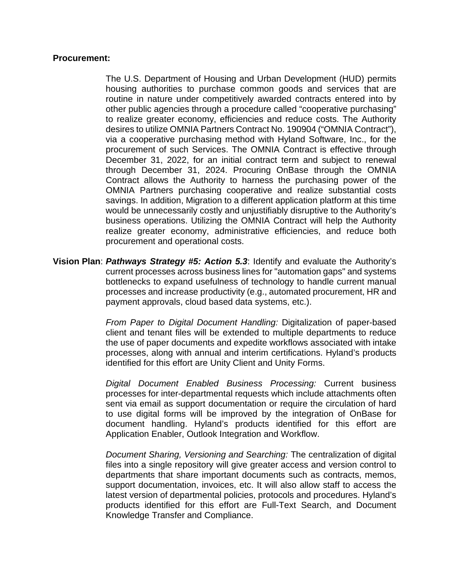### **Procurement:**

The U.S. Department of Housing and Urban Development (HUD) permits housing authorities to purchase common goods and services that are routine in nature under competitively awarded contracts entered into by other public agencies through a procedure called "cooperative purchasing" to realize greater economy, efficiencies and reduce costs. The Authority desires to utilize OMNIA Partners Contract No. 190904 ("OMNIA Contract"), via a cooperative purchasing method with Hyland Software, Inc., for the procurement of such Services. The OMNIA Contract is effective through December 31, 2022, for an initial contract term and subject to renewal through December 31, 2024. Procuring OnBase through the OMNIA Contract allows the Authority to harness the purchasing power of the OMNIA Partners purchasing cooperative and realize substantial costs savings. In addition, Migration to a different application platform at this time would be unnecessarily costly and unjustifiably disruptive to the Authority's business operations. Utilizing the OMNIA Contract will help the Authority realize greater economy, administrative efficiencies, and reduce both procurement and operational costs.

**Vision Plan**: *Pathways Strategy #5: Action 5.3*: Identify and evaluate the Authority's current processes across business lines for "automation gaps" and systems bottlenecks to expand usefulness of technology to handle current manual processes and increase productivity (e.g., automated procurement, HR and payment approvals, cloud based data systems, etc.).

> *From Paper to Digital Document Handling:* Digitalization of paper-based client and tenant files will be extended to multiple departments to reduce the use of paper documents and expedite workflows associated with intake processes, along with annual and interim certifications. Hyland's products identified for this effort are Unity Client and Unity Forms.

> *Digital Document Enabled Business Processing:* Current business processes for inter-departmental requests which include attachments often sent via email as support documentation or require the circulation of hard to use digital forms will be improved by the integration of OnBase for document handling. Hyland's products identified for this effort are Application Enabler, Outlook Integration and Workflow.

> *Document Sharing, Versioning and Searching:* The centralization of digital files into a single repository will give greater access and version control to departments that share important documents such as contracts, memos, support documentation, invoices, etc. It will also allow staff to access the latest version of departmental policies, protocols and procedures. Hyland's products identified for this effort are Full-Text Search, and Document Knowledge Transfer and Compliance.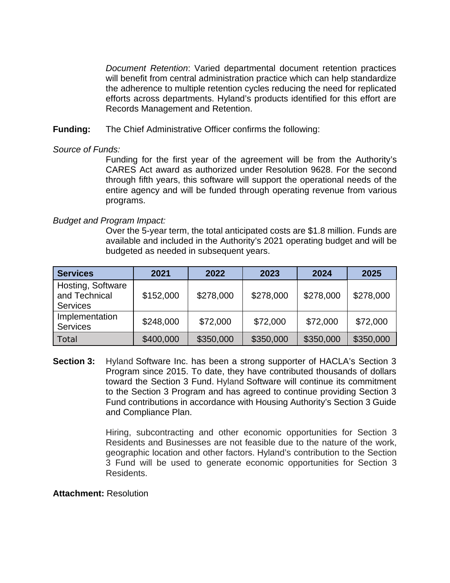*Document Retention*: Varied departmental document retention practices will benefit from central administration practice which can help standardize the adherence to multiple retention cycles reducing the need for replicated efforts across departments. Hyland's products identified for this effort are Records Management and Retention.

**Funding:** The Chief Administrative Officer confirms the following:

## *Source of Funds:*

Funding for the first year of the agreement will be from the Authority's CARES Act award as authorized under Resolution 9628. For the second through fifth years, this software will support the operational needs of the entire agency and will be funded through operating revenue from various programs.

# *Budget and Program Impact:*

Over the 5-year term, the total anticipated costs are \$1.8 million. Funds are available and included in the Authority's 2021 operating budget and will be budgeted as needed in subsequent years.

| <b>Services</b>                                       | 2021      | 2022      | 2023      | 2024      | 2025      |
|-------------------------------------------------------|-----------|-----------|-----------|-----------|-----------|
| Hosting, Software<br>and Technical<br><b>Services</b> | \$152,000 | \$278,000 | \$278,000 | \$278,000 | \$278,000 |
| Implementation<br><b>Services</b>                     | \$248,000 | \$72,000  | \$72,000  | \$72,000  | \$72,000  |
| Total                                                 | \$400,000 | \$350,000 | \$350,000 | \$350,000 | \$350,000 |

**Section 3:** Hyland Software Inc. has been a strong supporter of HACLA's Section 3 Program since 2015. To date, they have contributed thousands of dollars toward the Section 3 Fund. Hyland Software will continue its commitment to the Section 3 Program and has agreed to continue providing Section 3 Fund contributions in accordance with Housing Authority's Section 3 Guide and Compliance Plan.

> Hiring, subcontracting and other economic opportunities for Section 3 Residents and Businesses are not feasible due to the nature of the work, geographic location and other factors. Hyland's contribution to the Section 3 Fund will be used to generate economic opportunities for Section 3 Residents.

### **Attachment:** Resolution